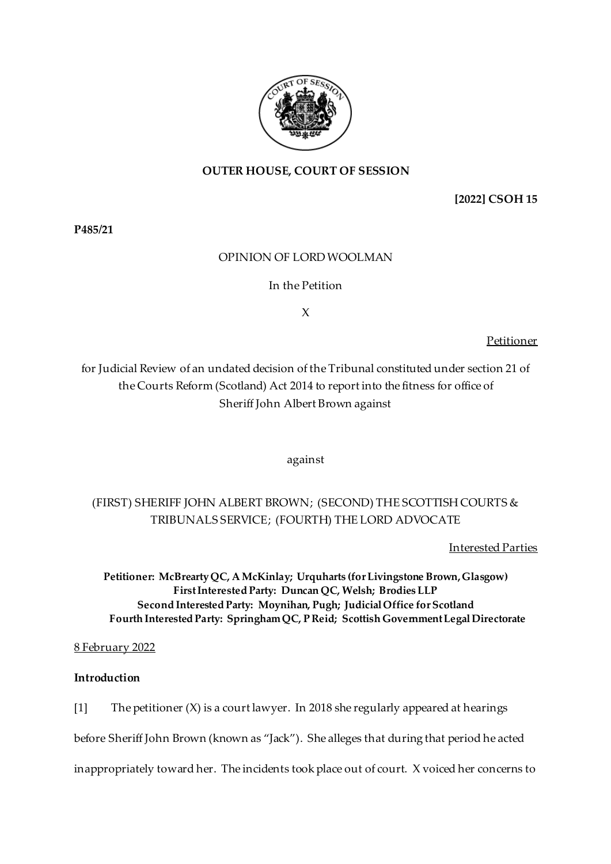

# **OUTER HOUSE, COURT OF SESSION**

**[2022] CSOH 15**

**P485/21**

# OPINION OF LORDWOOLMAN

# In the Petition

X

Petitioner

for Judicial Review of an undated decision of the Tribunal constituted under section 21 of the Courts Reform (Scotland) Act 2014 to report into the fitness for office of Sheriff John Albert Brown against

against

# (FIRST) SHERIFF JOHN ALBERT BROWN; (SECOND) THE SCOTTISH COURTS & TRIBUNALS SERVICE; (FOURTH) THE LORD ADVOCATE

Interested Parties

**Petitioner: McBrearty QC, AMcKinlay; Urquharts (for Livingstone Brown, Glasgow) First Interested Party: Duncan QC, Welsh; Brodies LLP Second Interested Party: Moynihan, Pugh; Judicial Office for Scotland Fourth Interested Party: SpringhamQC, P Reid; Scottish Government Legal Directorate**

8 February 2022

# **Introduction**

[1] The petitioner  $(X)$  is a court lawyer. In 2018 she regularly appeared at hearings

before Sheriff John Brown (known as "Jack"). She alleges that during that period he acted

inappropriately toward her. The incidents took place out of court. X voiced her concerns to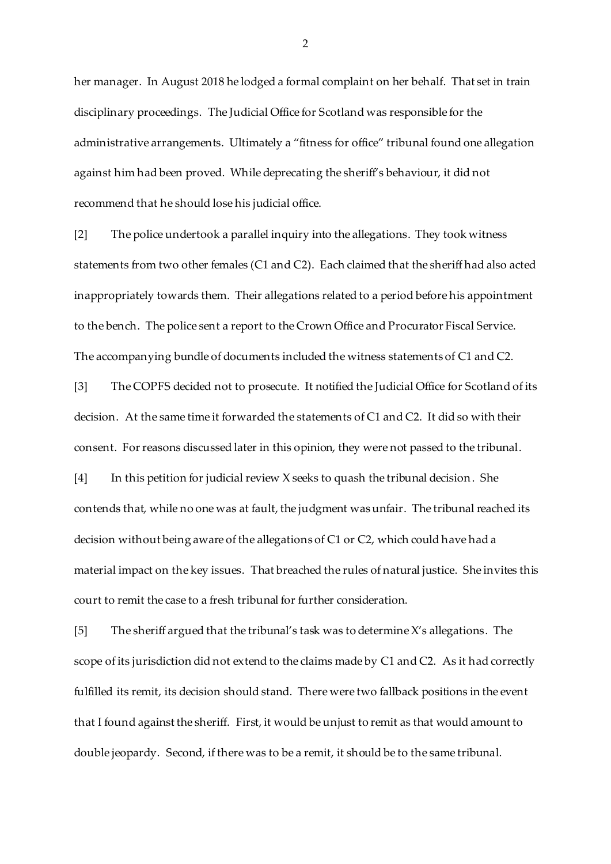her manager. In August 2018 he lodged a formal complaint on her behalf. That set in train disciplinary proceedings. The Judicial Office for Scotland was responsible for the administrative arrangements. Ultimately a "fitness for office" tribunal found one allegation against him had been proved. While deprecating the sheriff's behaviour, it did not recommend that he should lose his judicial office.

[2] The police undertook a parallel inquiry into the allegations. They took witness statements from two other females (C1 and C2). Each claimed that the sheriff had also acted inappropriately towards them. Their allegations related to a period before his appointment to the bench. The police sent a report to the Crown Office and Procurator Fiscal Service. The accompanying bundle of documents included the witness statements of C1 and C2.

[3] The COPFS decided not to prosecute. It notified the Judicial Office for Scotland of its decision. At the same time it forwarded the statements of C1 and C2. It did so with their consent. For reasons discussed later in this opinion, they were not passed to the tribunal. [4] In this petition for judicial review X seeks to quash the tribunal decision. She

contends that, while no one was at fault, the judgment was unfair. The tribunal reached its decision without being aware of the allegations of C1 or C2, which could have had a material impact on the key issues. That breached the rules of natural justice. She invites this court to remit the case to a fresh tribunal for further consideration.

[5] The sheriff argued that the tribunal's task was to determine X's allegations. The scope of its jurisdiction did not extend to the claims made by C1 and C2. As it had correctly fulfilled its remit, its decision should stand. There were two fallback positions in the event that I found against the sheriff. First, it would be unjust to remit as that would amount to double jeopardy. Second, if there was to be a remit, it should be to the same tribunal.

2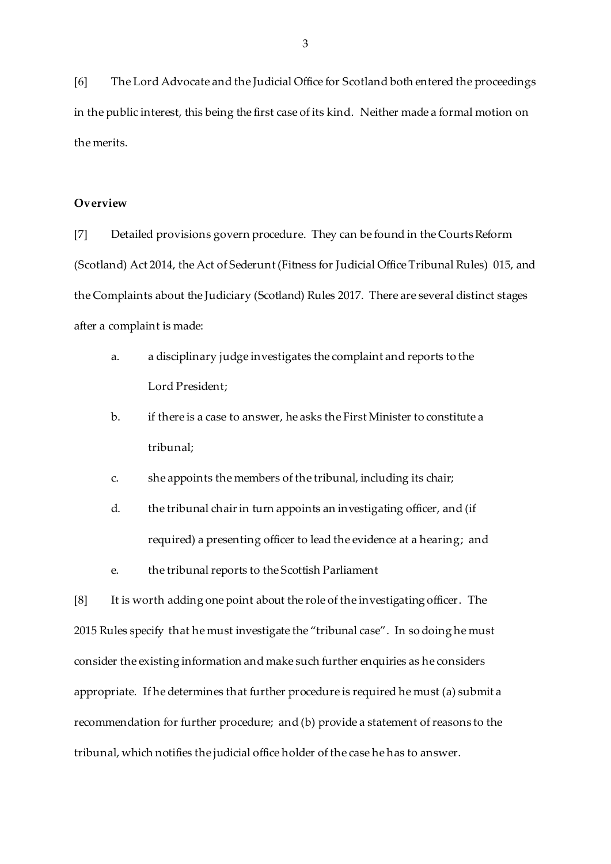[6] The Lord Advocate and the Judicial Office for Scotland both entered the proceedings in the public interest, this being the first case of its kind. Neither made a formal motion on the merits.

## **Overview**

[7] Detailed provisions govern procedure. They can be found in the Courts Reform (Scotland) Act 2014, the Act of Sederunt (Fitness for Judicial Office Tribunal Rules) 015, and the Complaints about the Judiciary (Scotland) Rules 2017. There are several distinct stages after a complaint is made:

- a. a disciplinary judge investigates the complaint and reports to the Lord President;
- b. if there is a case to answer, he asks the First Minister to constitute a tribunal;
- c. she appoints the members of the tribunal, including its chair;
- d. the tribunal chair in turn appoints an investigating officer, and (if required) a presenting officer to lead the evidence at a hearing; and
- e. the tribunal reports to the Scottish Parliament

[8] It is worth adding one point about the role of the investigating officer. The 2015 Rules specify that he must investigate the "tribunal case". In so doing he must consider the existing information and make such further enquiries as he considers appropriate. If he determines that further procedure is required he must (a) submit a recommendation for further procedure; and (b) provide a statement of reasons to the tribunal, which notifies the judicial office holder of the case he has to answer.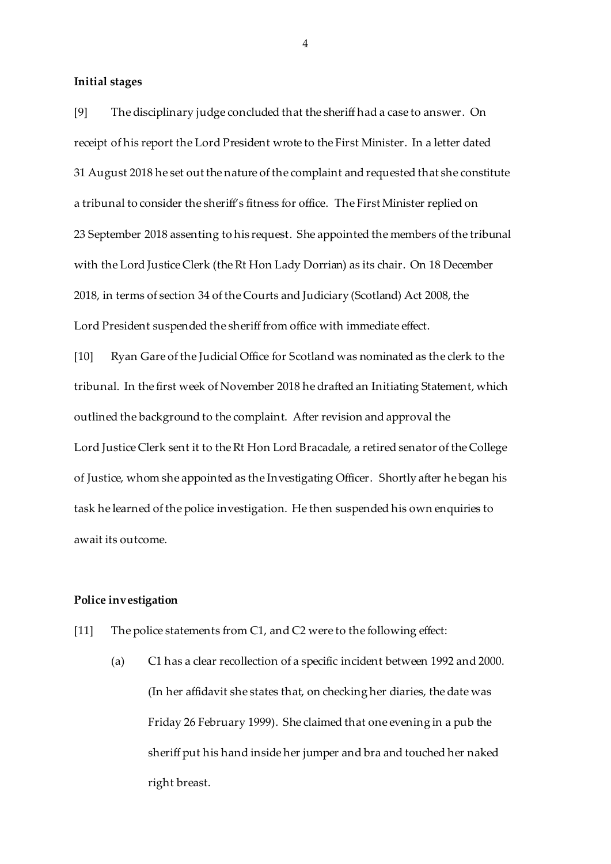#### **Initial stages**

[9] The disciplinary judge concluded that the sheriff had a case to answer. On receipt of his report the Lord President wrote to the First Minister. In a letter dated 31 August 2018 he set out the nature of the complaint and requested that she constitute a tribunal to consider the sheriff's fitness for office. The First Minister replied on 23 September 2018 assenting to his request. She appointed the members of the tribunal with the Lord Justice Clerk (the Rt Hon Lady Dorrian) as its chair. On 18 December 2018, in terms of section 34 of the Courts and Judiciary (Scotland) Act 2008, the Lord President suspended the sheriff from office with immediate effect.

[10] Ryan Gare of the Judicial Office for Scotland was nominated as the clerk to the tribunal. In the first week of November 2018 he drafted an Initiating Statement, which outlined the background to the complaint. After revision and approval the Lord Justice Clerk sent it to the Rt Hon Lord Bracadale, a retired senator of the College of Justice, whom she appointed as the Investigating Officer. Shortly after he began his task he learned of the police investigation. He then suspended his own enquiries to await its outcome.

## **Police investigation**

- [11] The police statements from C1, and C2 were to the following effect:
	- (a) C1 has a clear recollection of a specific incident between 1992 and 2000. (In her affidavit she states that, on checking her diaries, the date was Friday 26 February 1999). She claimed that one evening in a pub the sheriff put his hand inside her jumper and bra and touched her naked right breast.

4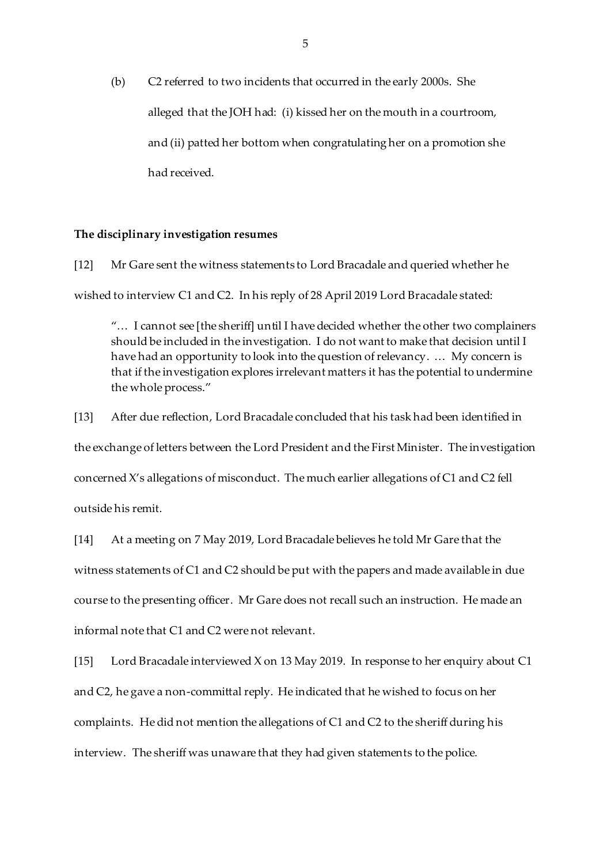(b) C2 referred to two incidents that occurred in the early 2000s. She alleged that the JOH had: (i) kissed her on the mouth in a courtroom, and (ii) patted her bottom when congratulating her on a promotion she had received.

#### **The disciplinary investigation resumes**

[12] Mr Gare sent the witness statements to Lord Bracadale and queried whether he wished to interview C1 and C2. In his reply of 28 April 2019 Lord Bracadale stated:

"… I cannot see [the sheriff] until I have decided whether the other two complainers should be included in the investigation. I do not want to make that decision until I have had an opportunity to look into the question of relevancy. … My concern is that if the investigation explores irrelevant matters it has the potential to undermine the whole process."

[13] After due reflection, Lord Bracadale concluded that his task had been identified in the exchange of letters between the Lord President and the First Minister. The investigation concerned X's allegations of misconduct. The much earlier allegations of C1 and C2 fell

outside his remit.

[14] At a meeting on 7 May 2019, Lord Bracadale believes he told Mr Gare that the witness statements of C1 and C2 should be put with the papers and made available in due course to the presenting officer. Mr Gare does not recall such an instruction. He made an informal note that C1 and C2 were not relevant.

[15] Lord Bracadale interviewed X on 13 May 2019. In response to her enquiry about C1 and C2, he gave a non-committal reply. He indicated that he wished to focus on her complaints. He did not mention the allegations of C1 and C2 to the sheriff during his interview. The sheriff was unaware that they had given statements to the police.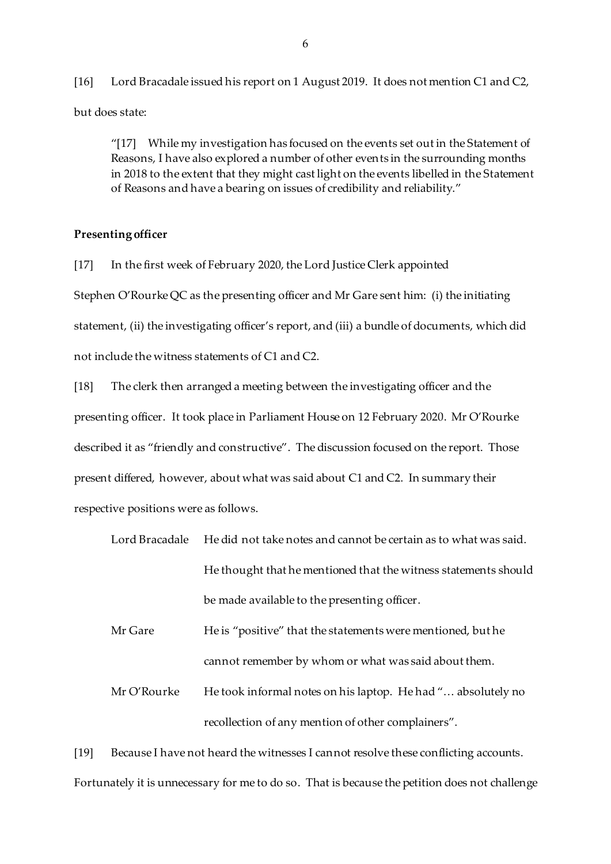[16] Lord Bracadale issued his report on 1 August 2019. It does not mention C1 and C2, but does state:

"[17] While my investigation has focused on the events set out in the Statement of Reasons, I have also explored a number of other events in the surrounding months in 2018 to the extent that they might cast light on the events libelled in the Statement of Reasons and have a bearing on issues of credibility and reliability."

## **Presenting officer**

[17] In the first week of February 2020, the Lord Justice Clerk appointed Stephen O'Rourke QC as the presenting officer and Mr Gare sent him: (i) the initiating statement, (ii) the investigating officer's report, and (iii) a bundle of documents, which did not include the witness statements of C1 and C2.

[18] The clerk then arranged a meeting between the investigating officer and the presenting officer. It took place in Parliament House on 12 February 2020. Mr O'Rourke described it as "friendly and constructive". The discussion focused on the report. Those present differed, however, about what was said about C1 and C2. In summary their respective positions were as follows.

|  | Lord Bracadale He did not take notes and cannot be certain as to what was said. |
|--|---------------------------------------------------------------------------------|
|  | He thought that he mentioned that the witness statements should                 |
|  | be made available to the presenting officer.                                    |

Mr Gare He is "positive" that the statements were mentioned, but he cannot remember by whom or what was said about them.

Mr O'Rourke He took informal notes on his laptop. He had "... absolutely no recollection of any mention of other complainers".

[19] Because I have not heard the witnesses I cannot resolve these conflicting accounts.

Fortunately it is unnecessary for me to do so. That is because the petition does not challenge

6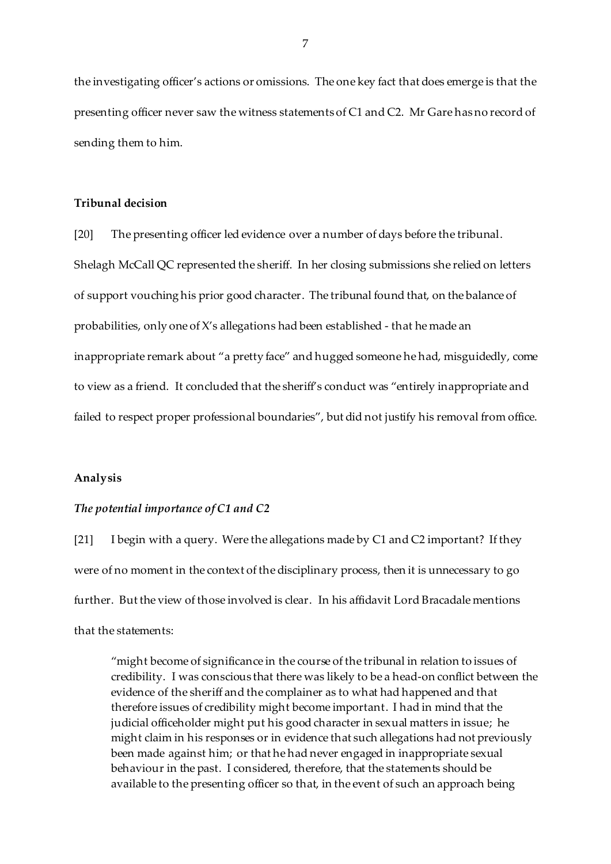the investigating officer's actions or omissions. The one key fact that does emerge is that the presenting officer never saw the witness statements of C1 and C2. Mr Gare has no record of sending them to him.

## **Tribunal decision**

[20] The presenting officer led evidence over a number of days before the tribunal. Shelagh McCall QC represented the sheriff. In her closing submissions she relied on letters of support vouching his prior good character. The tribunal found that, on the balance of probabilities, only one of X's allegations had been established - that he made an inappropriate remark about "a pretty face" and hugged someone he had, misguidedly, come to view as a friend. It concluded that the sheriff's conduct was "entirely inappropriate and failed to respect proper professional boundaries", but did not justify his removal from office.

#### **Analysis**

#### *The potential importance of C1 and C2*

[21] I begin with a query. Were the allegations made by C1 and C2 important? If they were of no moment in the context of the disciplinary process, then it is unnecessary to go further. But the view of those involved is clear. In his affidavit Lord Bracadale mentions that the statements:

"might become of significance in the course of the tribunal in relation to issues of credibility. I was conscious that there was likely to be a head-on conflict between the evidence of the sheriff and the complainer as to what had happened and that therefore issues of credibility might become important. I had in mind that the judicial officeholder might put his good character in sexual matters in issue; he might claim in his responses or in evidence that such allegations had not previously been made against him; or that he had never engaged in inappropriate sexual behaviour in the past. I considered, therefore, that the statements should be available to the presenting officer so that, in the event of such an approach being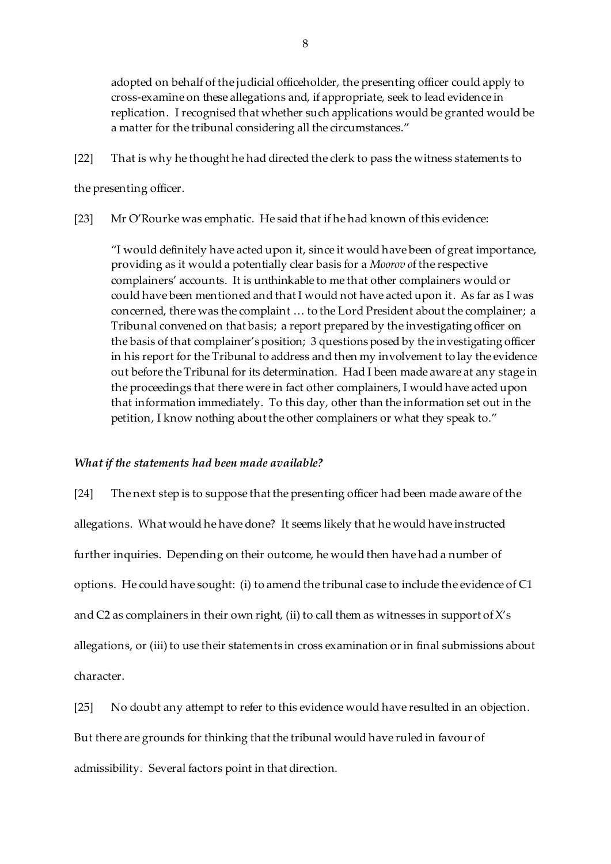adopted on behalf of the judicial officeholder, the presenting officer could apply to cross-examine on these allegations and, if appropriate, seek to lead evidence in replication. I recognised that whether such applications would be granted would be a matter for the tribunal considering all the circumstances."

[22] That is why he thought he had directed the clerk to pass the witness statements to

the presenting officer.

[23] Mr O'Rourke was emphatic. He said that if he had known of this evidence:

"I would definitely have acted upon it, since it would have been of great importance, providing as it would a potentially clear basis for a *Moorov o*f the respective complainers' accounts. It is unthinkable to me that other complainers would or could have been mentioned and that I would not have acted upon it. As far as I was concerned, there was the complaint … to the Lord President about the complainer; a Tribunal convened on that basis; a report prepared by the investigating officer on the basis of that complainer's position; 3 questions posed by the investigating officer in his report for the Tribunal to address and then my involvement to lay the evidence out before the Tribunal for its determination. Had I been made aware at any stage in the proceedings that there were in fact other complainers, I would have acted upon that information immediately. To this day, other than the information set out in the petition, I know nothing about the other complainers or what they speak to."

# *What if the statements had been made available?*

[24] The next step is to suppose that the presenting officer had been made aware of the allegations. What would he have done? It seems likely that he would have instructed further inquiries. Depending on their outcome, he would then have had a number of options. He could have sought: (i) to amend the tribunal case to include the evidence of C1 and C2 as complainers in their own right, (ii) to call them as witnesses in support of X's allegations, or (iii) to use their statements in cross examination or in final submissions about character.

[25] No doubt any attempt to refer to this evidence would have resulted in an objection.

But there are grounds for thinking that the tribunal would have ruled in favour of

admissibility. Several factors point in that direction.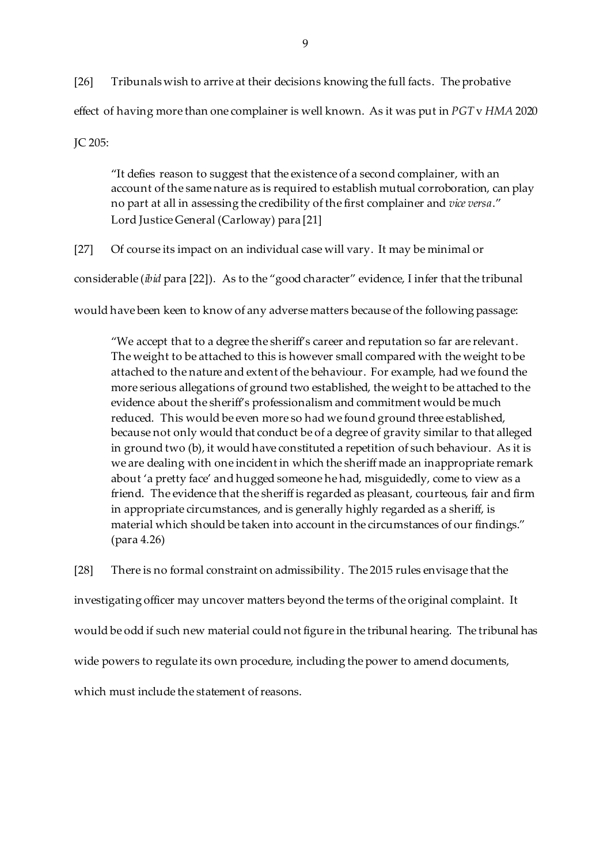[26] Tribunals wish to arrive at their decisions knowing the full facts. The probative effect of having more than one complainer is well known. As it was put in *PGT* v *HMA* 2020 JC 205:

"It defies reason to suggest that the existence of a second complainer, with an account of the same nature as is required to establish mutual corroboration, can play no part at all in assessing the credibility of the first complainer and *vice versa*." Lord Justice General (Carloway) para [21]

[27] Of course its impact on an individual case will vary. It may be minimal or

considerable (*ibid* para [22]). As to the "good character" evidence, I infer that the tribunal

would have been keen to know of any adverse matters because of the following passage:

"We accept that to a degree the sheriff's career and reputation so far are relevant. The weight to be attached to this is however small compared with the weight to be attached to the nature and extent of the behaviour. For example, had we found the more serious allegations of ground two established, the weight to be attached to the evidence about the sheriff's professionalism and commitment would be much reduced. This would be even more so had we found ground three established, because not only would that conduct be of a degree of gravity similar to that alleged in ground two (b), it would have constituted a repetition of such behaviour. As it is we are dealing with one incident in which the sheriff made an inappropriate remark about 'a pretty face' and hugged someone he had, misguidedly, come to view as a friend. The evidence that the sheriff is regarded as pleasant, courteous, fair and firm in appropriate circumstances, and is generally highly regarded as a sheriff, is material which should be taken into account in the circumstances of our findings." (para 4.26)

[28] There is no formal constraint on admissibility. The 2015 rules envisage that the

investigating officer may uncover matters beyond the terms of the original complaint. It

would be odd if such new material could not figure in the tribunal hearing. The tribunal has

wide powers to regulate its own procedure, including the power to amend documents,

which must include the statement of reasons.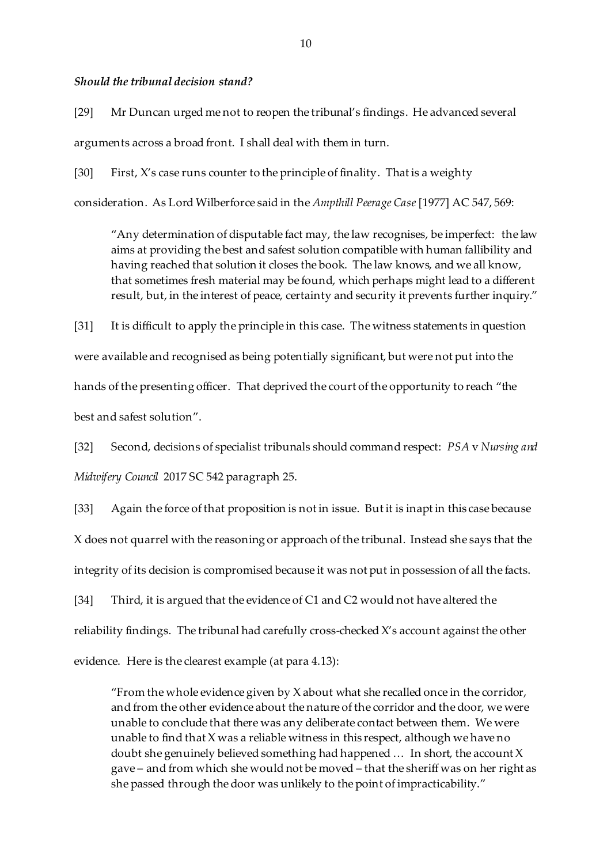#### *Should the tribunal decision stand?*

[29] Mr Duncan urged me not to reopen the tribunal's findings. He advanced several arguments across a broad front. I shall deal with them in turn.

[30] First, X's case runs counter to the principle of finality. That is a weighty

consideration. As Lord Wilberforce said in the *Ampthill Peerage Case* [1977] AC 547, 569:

"Any determination of disputable fact may, the law recognises, be imperfect: the law aims at providing the best and safest solution compatible with human fallibility and having reached that solution it closes the book. The law knows, and we all know, that sometimes fresh material may be found, which perhaps might lead to a different result, but, in the interest of peace, certainty and security it prevents further inquiry."

[31] It is difficult to apply the principle in this case. The witness statements in question were available and recognised as being potentially significant, but were not put into the hands of the presenting officer. That deprived the court of the opportunity to reach "the best and safest solution".

[32] Second, decisions of specialist tribunals should command respect: *PSA* v *Nursing and Midwifery Council* 2017 SC 542 paragraph 25.

[33] Again the force of that proposition is not in issue. But it is inapt in this case because X does not quarrel with the reasoning or approach of the tribunal. Instead she says that the integrity of its decision is compromised because it was not put in possession of all the facts.

[34] Third, it is argued that the evidence of C1 and C2 would not have altered the reliability findings. The tribunal had carefully cross-checked X's account against the other evidence. Here is the clearest example (at para 4.13):

"From the whole evidence given by  $X$  about what she recalled once in the corridor, and from the other evidence about the nature of the corridor and the door, we were unable to conclude that there was any deliberate contact between them. We were unable to find that X was a reliable witness in this respect, although we have no doubt she genuinely believed something had happened … In short, the account X gave – and from which she would not be moved – that the sheriff was on her right as she passed through the door was unlikely to the point of impracticability."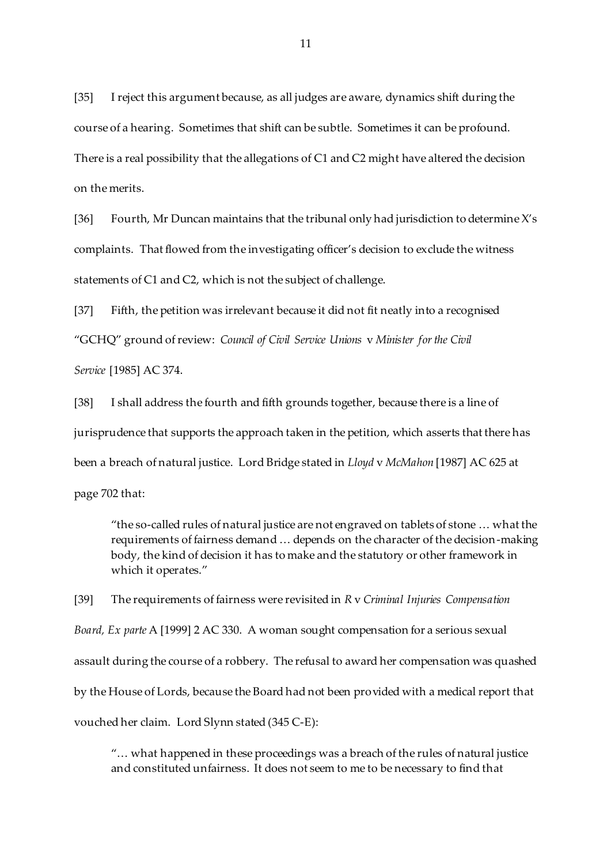[35] I reject this argument because, as all judges are aware, dynamics shift during the course of a hearing. Sometimes that shift can be subtle. Sometimes it can be profound. There is a real possibility that the allegations of C1 and C2 might have altered the decision on the merits.

[36] Fourth, Mr Duncan maintains that the tribunal only had jurisdiction to determine X's complaints. That flowed from the investigating officer's decision to exclude the witness statements of C1 and C2, which is not the subject of challenge.

[37] Fifth, the petition was irrelevant because it did not fit neatly into a recognised "GCHQ" ground of review: *Council of Civil Service Unions* v *Minister for the Civil Service* [1985] AC 374.

[38] I shall address the fourth and fifth grounds together, because there is a line of jurisprudence that supports the approach taken in the petition, which asserts that there has been a breach of natural justice. Lord Bridge stated in *Lloyd* v *McMahon* [1987] AC 625 at page 702 that:

"the so-called rules of natural justice are not engraved on tablets of stone … what the requirements of fairness demand … depends on the character of the decision-making body, the kind of decision it has to make and the statutory or other framework in which it operates."

[39] The requirements of fairness were revisited in *R* v *Criminal Injuries Compensation Board, Ex parte* A [1999] 2 AC 330. A woman sought compensation for a serious sexual assault during the course of a robbery. The refusal to award her compensation was quashed by the House of Lords, because the Board had not been provided with a medical report that vouched her claim. Lord Slynn stated (345 C-E):

"… what happened in these proceedings was a breach of the rules of natural justice and constituted unfairness. It does not seem to me to be necessary to find that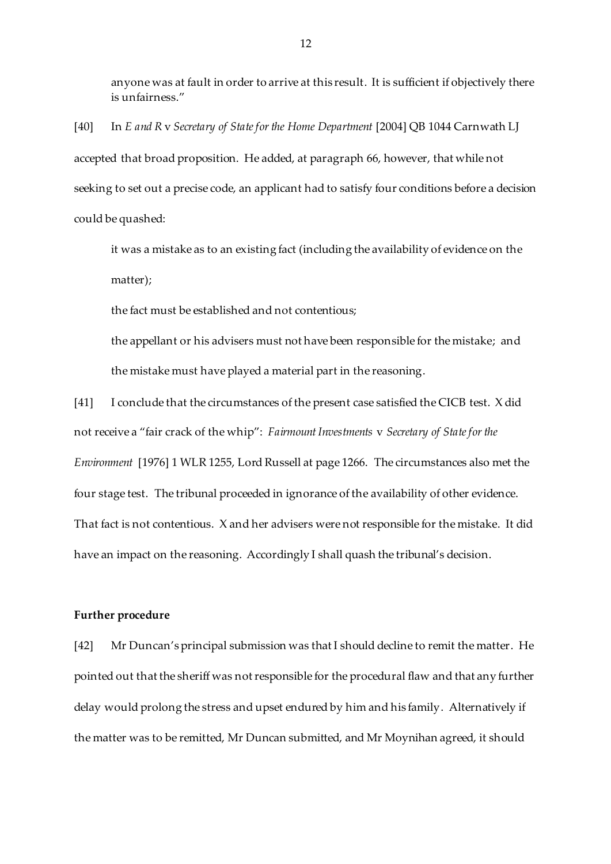anyone was at fault in order to arrive at this result. It is sufficient if objectively there is unfairness."

[40] In *E and R* v *Secretary of State for the Home Department* [2004] QB 1044 Carnwath LJ accepted that broad proposition. He added, at paragraph 66, however, that while not seeking to set out a precise code, an applicant had to satisfy four conditions before a decision could be quashed:

it was a mistake as to an existing fact (including the availability of evidence on the matter);

the fact must be established and not contentious;

the appellant or his advisers must not have been responsible for the mistake; and the mistake must have played a material part in the reasoning.

[41] I conclude that the circumstances of the present case satisfied the CICB test. X did not receive a "fair crack of the whip": *Fairmount Investments* v *Secretary of State for the Environment* [1976] 1 WLR 1255, Lord Russell at page 1266. The circumstances also met the four stage test. The tribunal proceeded in ignorance of the availability of other evidence. That fact is not contentious. X and her advisers were not responsible for the mistake. It did have an impact on the reasoning. Accordingly I shall quash the tribunal's decision.

## **Further procedure**

[42] Mr Duncan's principal submission was that I should decline to remit the matter. He pointed out that the sheriff was not responsible for the procedural flaw and that any further delay would prolong the stress and upset endured by him and his family. Alternatively if the matter was to be remitted, Mr Duncan submitted, and Mr Moynihan agreed, it should